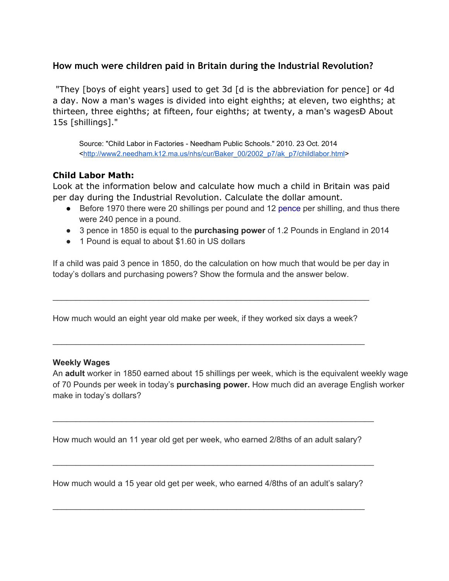## **How much were children paid in Britain during the Industrial Revolution?**

"They [boys of eight years] used to get 3d [d is the abbreviation for pence] or 4d a day. Now a man's wages is divided into eight eighths; at eleven, two eighths; at thirteen, three eighths; at fifteen, four eighths; at twenty, a man's wagesÐ About 15s [shillings]."

Source: "Child Labor in Factories Needham Public Schools." 2010. 23 Oct. 2014 [<http://www2.needham.k12.ma.us/nhs/cur/Baker\\_00/2002\\_p7/ak\\_p7/childlabor.html>](http://www.google.com/url?q=http%3A%2F%2Fwww2.needham.k12.ma.us%2Fnhs%2Fcur%2FBaker_00%2F2002_p7%2Fak_p7%2Fchildlabor.html&sa=D&sntz=1&usg=AFQjCNFr-ghC-nQk1nztPDtLPIWVhHhRxg)

## **Child Labor Math:**

Look at the information below and calculate how much a child in Britain was paid per day during the Industrial Revolution. Calculate the dollar amount.

- Before 1970 there were 20 shillings per pound and 12 [pence](http://www.google.com/url?q=http%3A%2F%2Fen.wikipedia.org%2Fwiki%2FPenny_(British_pre-decimal_coin)&sa=D&sntz=1&usg=AFQjCNEOz3JhClNIUT971fOXeEbnKKJulQ) per shilling, and thus there were 240 pence in a pound.
- 3 pence in 1850 is equal to the **purchasing power** of 1.2 Pounds in England in 2014
- 1 Pound is equal to about \$1.60 in US dollars

If a child was paid 3 pence in 1850, do the calculation on how much that would be per day in today's dollars and purchasing powers? Show the formula and the answer below.

How much would an eight year old make per week, if they worked six days a week?

 $\mathcal{L}_\mathcal{L} = \{ \mathcal{L}_\mathcal{L} = \{ \mathcal{L}_\mathcal{L} = \{ \mathcal{L}_\mathcal{L} = \{ \mathcal{L}_\mathcal{L} = \{ \mathcal{L}_\mathcal{L} = \{ \mathcal{L}_\mathcal{L} = \{ \mathcal{L}_\mathcal{L} = \{ \mathcal{L}_\mathcal{L} = \{ \mathcal{L}_\mathcal{L} = \{ \mathcal{L}_\mathcal{L} = \{ \mathcal{L}_\mathcal{L} = \{ \mathcal{L}_\mathcal{L} = \{ \mathcal{L}_\mathcal{L} = \{ \mathcal{L}_\mathcal{$ 

\_\_\_\_\_\_\_\_\_\_\_\_\_\_\_\_\_\_\_\_\_\_\_\_\_\_\_\_\_\_\_\_\_\_\_\_\_\_\_\_\_\_\_\_\_\_\_\_\_\_\_\_\_\_\_\_\_\_\_\_\_\_\_\_\_\_\_\_\_

#### **Weekly Wages**

An **adult** worker in 1850 earned about 15 shillings per week, which is the equivalent weekly wage of 70 Pounds per week in today's **purchasing power.** How much did an average English worker make in today's dollars?

How much would an 11 year old get per week, who earned 2/8ths of an adult salary?

\_\_\_\_\_\_\_\_\_\_\_\_\_\_\_\_\_\_\_\_\_\_\_\_\_\_\_\_\_\_\_\_\_\_\_\_\_\_\_\_\_\_\_\_\_\_\_\_\_\_\_\_\_\_\_\_\_\_\_\_\_\_\_\_\_\_\_\_\_\_

\_\_\_\_\_\_\_\_\_\_\_\_\_\_\_\_\_\_\_\_\_\_\_\_\_\_\_\_\_\_\_\_\_\_\_\_\_\_\_\_\_\_\_\_\_\_\_\_\_\_\_\_\_\_\_\_\_\_\_\_\_\_\_\_\_\_\_\_\_\_

How much would a 15 year old get per week, who earned 4/8ths of an adult's salary?

\_\_\_\_\_\_\_\_\_\_\_\_\_\_\_\_\_\_\_\_\_\_\_\_\_\_\_\_\_\_\_\_\_\_\_\_\_\_\_\_\_\_\_\_\_\_\_\_\_\_\_\_\_\_\_\_\_\_\_\_\_\_\_\_\_\_\_\_